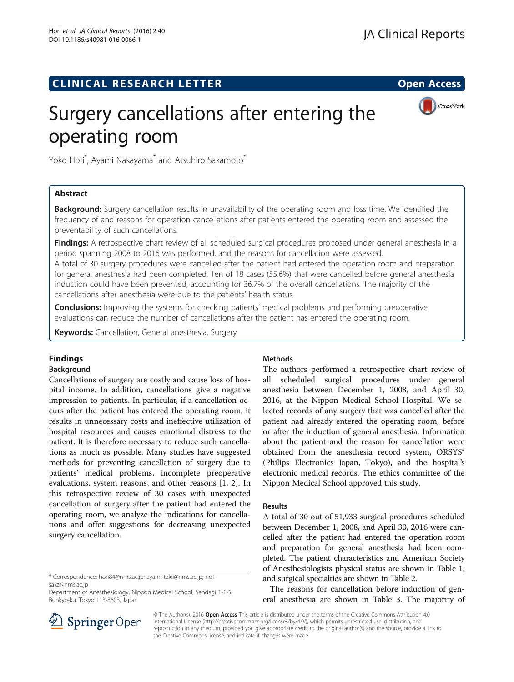## **CLINICAL RESEARCH LETTER CLINICAL RESEARCH LETTER Open Access**



# Surgery cancellations after entering the operating room

Yoko Hori\* , Ayami Nakayama\* and Atsuhiro Sakamoto\*

## Abstract

Background: Surgery cancellation results in unavailability of the operating room and loss time. We identified the frequency of and reasons for operation cancellations after patients entered the operating room and assessed the preventability of such cancellations.

Findings: A retrospective chart review of all scheduled surgical procedures proposed under general anesthesia in a period spanning 2008 to 2016 was performed, and the reasons for cancellation were assessed.

A total of 30 surgery procedures were cancelled after the patient had entered the operation room and preparation for general anesthesia had been completed. Ten of 18 cases (55.6%) that were cancelled before general anesthesia induction could have been prevented, accounting for 36.7% of the overall cancellations. The majority of the cancellations after anesthesia were due to the patients' health status.

**Conclusions:** Improving the systems for checking patients' medical problems and performing preoperative evaluations can reduce the number of cancellations after the patient has entered the operating room.

Keywords: Cancellation, General anesthesia, Surgery

## Findings

## Background

Cancellations of surgery are costly and cause loss of hospital income. In addition, cancellations give a negative impression to patients. In particular, if a cancellation occurs after the patient has entered the operating room, it results in unnecessary costs and ineffective utilization of hospital resources and causes emotional distress to the patient. It is therefore necessary to reduce such cancellations as much as possible. Many studies have suggested methods for preventing cancellation of surgery due to patients' medical problems, incomplete preoperative evaluations, system reasons, and other reasons [\[1](#page-2-0), [2\]](#page-2-0). In this retrospective review of 30 cases with unexpected cancellation of surgery after the patient had entered the operating room, we analyze the indications for cancellations and offer suggestions for decreasing unexpected surgery cancellation.

## Methods

The authors performed a retrospective chart review of all scheduled surgical procedures under general anesthesia between December 1, 2008, and April 30, 2016, at the Nippon Medical School Hospital. We selected records of any surgery that was cancelled after the patient had already entered the operating room, before or after the induction of general anesthesia. Information about the patient and the reason for cancellation were obtained from the anesthesia record system, ORSYS® (Philips Electronics Japan, Tokyo), and the hospital's electronic medical records. The ethics committee of the Nippon Medical School approved this study.

### Results

A total of 30 out of 51,933 surgical procedures scheduled between December 1, 2008, and April 30, 2016 were cancelled after the patient had entered the operation room and preparation for general anesthesia had been completed. The patient characteristics and American Society of Anesthesiologists physical status are shown in Table [1](#page-1-0), and surgical specialties are shown in Table [2](#page-1-0).

The reasons for cancellation before induction of general anesthesia are shown in Table [3](#page-1-0). The majority of



© The Author(s). 2016 Open Access This article is distributed under the terms of the Creative Commons Attribution 4.0 International License ([http://creativecommons.org/licenses/by/4.0/\)](http://creativecommons.org/licenses/by/4.0/), which permits unrestricted use, distribution, and reproduction in any medium, provided you give appropriate credit to the original author(s) and the source, provide a link to the Creative Commons license, and indicate if changes were made.

<sup>\*</sup> Correspondence: [hori84@nms.ac.jp](mailto:hori84@nms.ac.jp); [ayami-takii@nms.ac.jp;](mailto:ayami-takii@nms.ac.jp) [no1](mailto:no1-saka@nms.ac.jp) [saka@nms.ac.jp](mailto:no1-saka@nms.ac.jp)

Department of Anesthesiology, Nippon Medical School, Sendagi 1-1-5, Bunkyo-ku, Tokyo 113-8603, Japan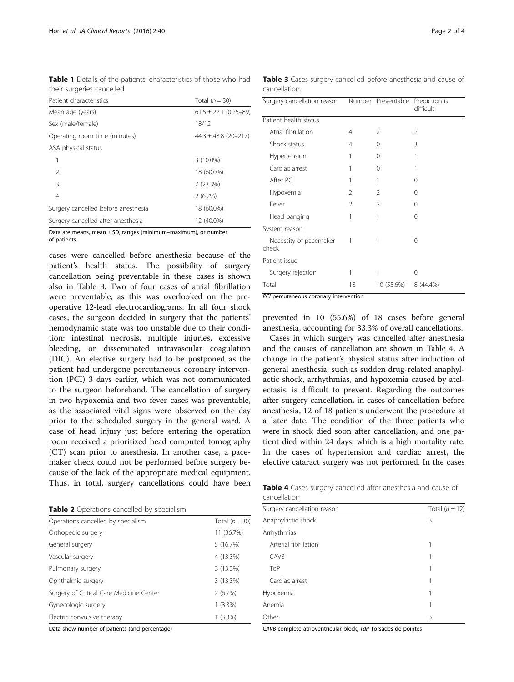<span id="page-1-0"></span>Table 1 Details of the patients' characteristics of those who had their surgeries cancelled

| Patient characteristics             | Total $(n = 30)$          |  |  |
|-------------------------------------|---------------------------|--|--|
| Mean age (years)                    | $61.5 \pm 22.1$ (0.25-89) |  |  |
| Sex (male/female)                   | 18/12                     |  |  |
| Operating room time (minutes)       | $44.3 \pm 48.8$ (20-217)  |  |  |
| ASA physical status                 |                           |  |  |
|                                     | $3(10.0\%)$               |  |  |
| $\mathcal{P}$                       | 18 (60.0%)                |  |  |
| 3                                   | 7(23.3%)                  |  |  |
| 4                                   | 2(6.7%)                   |  |  |
| Surgery cancelled before anesthesia | 18 (60.0%)                |  |  |
| Surgery cancelled after anesthesia  | 12 (40.0%)                |  |  |

Data are means, mean ± SD, ranges (minimum–maximum), or number of patients.

cases were cancelled before anesthesia because of the patient's health status. The possibility of surgery cancellation being preventable in these cases is shown also in Table 3. Two of four cases of atrial fibrillation were preventable, as this was overlooked on the preoperative 12-lead electrocardiograms. In all four shock cases, the surgeon decided in surgery that the patients' hemodynamic state was too unstable due to their condition: intestinal necrosis, multiple injuries, excessive bleeding, or disseminated intravascular coagulation (DIC). An elective surgery had to be postponed as the patient had undergone percutaneous coronary intervention (PCI) 3 days earlier, which was not communicated to the surgeon beforehand. The cancellation of surgery in two hypoxemia and two fever cases was preventable, as the associated vital signs were observed on the day prior to the scheduled surgery in the general ward. A case of head injury just before entering the operation room received a prioritized head computed tomography (CT) scan prior to anesthesia. In another case, a pacemaker check could not be performed before surgery because of the lack of the appropriate medical equipment. Thus, in total, surgery cancellations could have been

|  | Table 2 Operations cancelled by specialism |  |  |  |
|--|--------------------------------------------|--|--|--|
|--|--------------------------------------------|--|--|--|

| Operations cancelled by specialism       | Total $(n = 30)$ |
|------------------------------------------|------------------|
| Orthopedic surgery                       | 11 (36.7%)       |
| General surgery                          | 5(16.7%)         |
| Vascular surgery                         | 4 (13.3%)        |
| Pulmonary surgery                        | 3 (13.3%)        |
| Ophthalmic surgery                       | 3 (13.3%)        |
| Surgery of Critical Care Medicine Center | 2(6.7%)          |
| Gynecologic surgery                      | $1(3.3\%)$       |
| Electric convulsive therapy              | 1 (3.3%)         |

Data show number of patients (and percentage)

| Surgery cancellation reason     |                | Number Preventable | Prediction is<br>difficult |
|---------------------------------|----------------|--------------------|----------------------------|
| Patient health status           |                |                    |                            |
| Atrial fibrillation             | 4              | $\mathfrak{D}$     | $\mathfrak{D}$             |
| Shock status                    | 4              | $\Omega$           | 3                          |
| Hypertension                    | 1              | $\Omega$           | 1                          |
| Cardiac arrest                  | 1              | $\Omega$           | 1                          |
| After PCI                       | 1              | 1                  | $\Omega$                   |
| Hypoxemia                       | $\overline{2}$ | 2                  | $\Omega$                   |
| Fever                           | $\mathfrak{D}$ | $\mathfrak{D}$     | $\Omega$                   |
| Head banging                    | 1              | 1                  | $\Omega$                   |
| System reason                   |                |                    |                            |
| Necessity of pacemaker<br>check | 1              |                    | 0                          |
| Patient issue                   |                |                    |                            |
| Surgery rejection               | 1              | 1                  | 0                          |
| Total                           | 18             | 10 (55.6%)         | 8 (44.4%)                  |
|                                 |                |                    |                            |

Table 3 Cases surgery cancelled before anesthesia and cause of cancellation.

PCI percutaneous coronary intervention

prevented in 10 (55.6%) of 18 cases before general anesthesia, accounting for 33.3% of overall cancellations.

Cases in which surgery was cancelled after anesthesia and the causes of cancellation are shown in Table 4. A change in the patient's physical status after induction of general anesthesia, such as sudden drug-related anaphylactic shock, arrhythmias, and hypoxemia caused by atelectasis, is difficult to prevent. Regarding the outcomes after surgery cancellation, in cases of cancellation before anesthesia, 12 of 18 patients underwent the procedure at a later date. The condition of the three patients who were in shock died soon after cancellation, and one patient died within 24 days, which is a high mortality rate. In the cases of hypertension and cardiac arrest, the elective cataract surgery was not performed. In the cases

Table 4 Cases surgery cancelled after anesthesia and cause of cancellation

| Surgery cancellation reason | Total $(n = 12)$ |
|-----------------------------|------------------|
| Anaphylactic shock          | 3                |
| Arrhythmias                 |                  |
| Arterial fibrillation       | 1                |
| CAVB                        | 1                |
| TdP                         | 1                |
| Cardiac arrest              | 1                |
| Hypoxemia                   | 1                |
| Anemia                      | 1                |
| Other                       | 3                |

CAVB complete atrioventricular block, TdP Torsades de pointes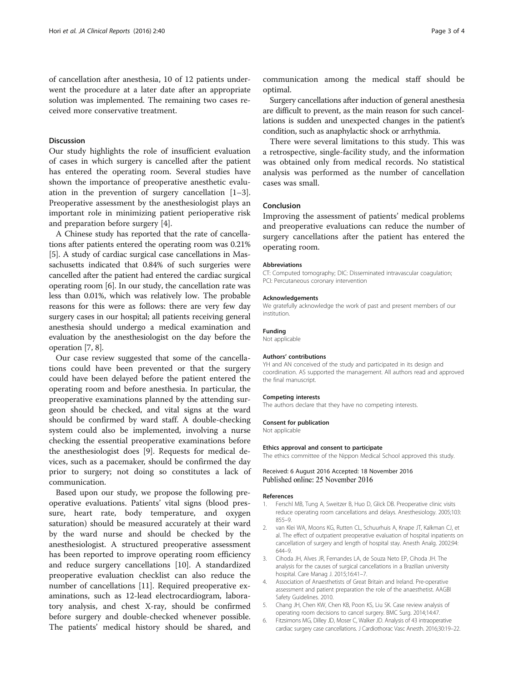<span id="page-2-0"></span>of cancellation after anesthesia, 10 of 12 patients underwent the procedure at a later date after an appropriate solution was implemented. The remaining two cases received more conservative treatment.

#### Discussion

Our study highlights the role of insufficient evaluation of cases in which surgery is cancelled after the patient has entered the operating room. Several studies have shown the importance of preoperative anesthetic evaluation in the prevention of surgery cancellation [1–3]. Preoperative assessment by the anesthesiologist plays an important role in minimizing patient perioperative risk and preparation before surgery [4].

A Chinese study has reported that the rate of cancellations after patients entered the operating room was 0.21% [5]. A study of cardiac surgical case cancellations in Massachusetts indicated that 0.84% of such surgeries were cancelled after the patient had entered the cardiac surgical operating room [6]. In our study, the cancellation rate was less than 0.01%, which was relatively low. The probable reasons for this were as follows: there are very few day surgery cases in our hospital; all patients receiving general anesthesia should undergo a medical examination and evaluation by the anesthesiologist on the day before the operation [[7, 8](#page-3-0)].

Our case review suggested that some of the cancellations could have been prevented or that the surgery could have been delayed before the patient entered the operating room and before anesthesia. In particular, the preoperative examinations planned by the attending surgeon should be checked, and vital signs at the ward should be confirmed by ward staff. A double-checking system could also be implemented, involving a nurse checking the essential preoperative examinations before the anesthesiologist does [\[9](#page-3-0)]. Requests for medical devices, such as a pacemaker, should be confirmed the day prior to surgery; not doing so constitutes a lack of communication.

Based upon our study, we propose the following preoperative evaluations. Patients' vital signs (blood pressure, heart rate, body temperature, and oxygen saturation) should be measured accurately at their ward by the ward nurse and should be checked by the anesthesiologist. A structured preoperative assessment has been reported to improve operating room efficiency and reduce surgery cancellations [\[10\]](#page-3-0). A standardized preoperative evaluation checklist can also reduce the number of cancellations [[11\]](#page-3-0). Required preoperative examinations, such as 12-lead electrocardiogram, laboratory analysis, and chest X-ray, should be confirmed before surgery and double-checked whenever possible. The patients' medical history should be shared, and

communication among the medical staff should be optimal.

Surgery cancellations after induction of general anesthesia are difficult to prevent, as the main reason for such cancellations is sudden and unexpected changes in the patient's condition, such as anaphylactic shock or arrhythmia.

There were several limitations to this study. This was a retrospective, single-facility study, and the information was obtained only from medical records. No statistical analysis was performed as the number of cancellation cases was small.

#### Conclusion

Improving the assessment of patients' medical problems and preoperative evaluations can reduce the number of surgery cancellations after the patient has entered the operating room.

#### Abbreviations

CT: Computed tomography; DIC: Disseminated intravascular coagulation; PCI: Percutaneous coronary intervention

#### Acknowledgements

We gratefully acknowledge the work of past and present members of our institution.

#### Funding

Not applicable

#### Authors' contributions

YH and AN conceived of the study and participated in its design and coordination. AS supported the management. All authors read and approved the final manuscript.

#### Competing interests

The authors declare that they have no competing interests.

## Consent for publication

Not applicable

#### Ethics approval and consent to participate

The ethics committee of the Nippon Medical School approved this study.

#### Received: 6 August 2016 Accepted: 18 November 2016 Published online: 25 November 2016

#### References

- 1. Ferschl MB, Tung A, Sweitzer B, Huo D, Glick DB. Preoperative clinic visits reduce operating room cancellations and delays. Anesthesiology. 2005;103: 855–9.
- 2. van Klei WA, Moons KG, Rutten CL, Schuurhuis A, Knape JT, Kalkman CJ, et al. The effect of outpatient preoperative evaluation of hospital inpatients on cancellation of surgery and length of hospital stay. Anesth Analg. 2002;94: 644–9.
- 3. Cihoda JH, Alves JR, Fernandes LA, de Souza Neto EP, Cihoda JH. The analysis for the causes of surgical cancellations in a Brazilian university hospital. Care Manag J. 2015;16:41–7.
- 4. Association of Anaesthetists of Great Britain and Ireland. Pre-operative assessment and patient preparation the role of the anaesthetist. AAGBI Safety Guidelines. 2010.
- 5. Chang JH, Chen KW, Chen KB, Poon KS, Liu SK. Case review analysis of operating room decisions to cancel surgery. BMC Surg. 2014;14:47.
- 6. Fitzsimons MG, Dilley JD, Moser C, Walker JD. Analysis of 43 intraoperative cardiac surgery case cancellations. J Cardiothorac Vasc Anesth. 2016;30:19–22.